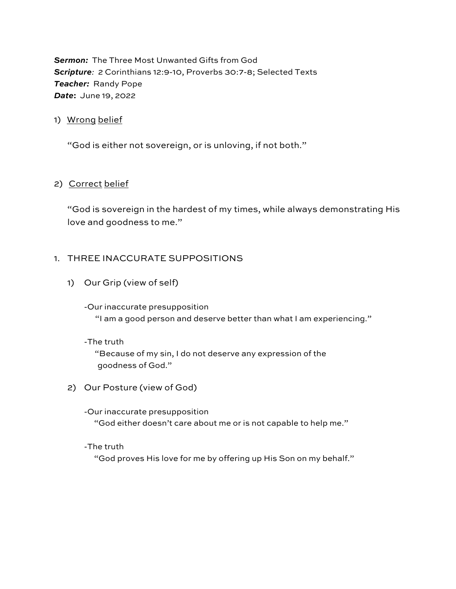**Sermon:** The Three Most Unwanted Gifts from God *Scripture:* 2 Corinthians 12:9-10, Proverbs 30:7-8; Selected Texts *Teacher:* Randy Pope *Date***:** June 19, 2022

# 1) Wrong belief

"God is either not sovereign, or is unloving, if not both."

# 2) Correct belief

"God is sovereign in the hardest of my times, while always demonstrating His love and goodness to me."

# 1. THREE INACCURATE SUPPOSITIONS

- 1) Our Grip (view of self)
	- -Our inaccurate presupposition "I am a good person and deserve better than what I am experiencing."
	- -The truth

 "Because of my sin, I do not deserve any expression of the goodness of God."

- 2) Our Posture (view of God)
	- -Our inaccurate presupposition "God either doesn't care about me or is not capable to help me."
	- -The truth

"God proves His love for me by offering up His Son on my behalf."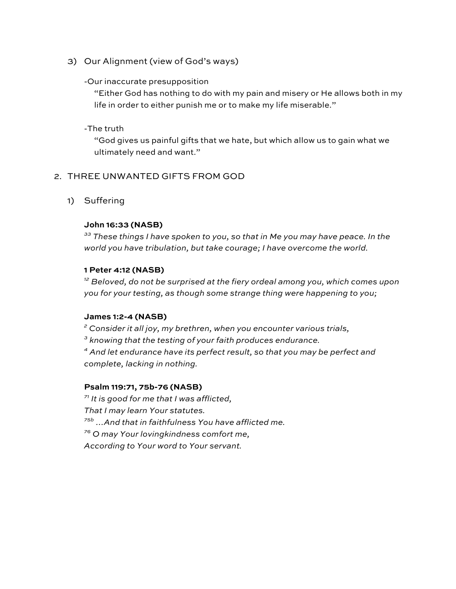3) Our Alignment (view of God's ways)

## -Our inaccurate presupposition

"Either God has nothing to do with my pain and misery or He allows both in my life in order to either punish me or to make my life miserable."

# -The truth

"God gives us painful gifts that we hate, but which allow us to gain what we ultimately need and want."

# 2. THREE UNWANTED GIFTS FROM GOD

1) Suffering

## **John 16:33 (NASB)**

*<sup>33</sup> These things I have spoken to you, so that in Me you may have peace. In the world you have tribulation, but take courage; I have overcome the world.*

## **1 Peter 4:12 (NASB)**

*<sup>12</sup> Beloved, do not be surprised at the fiery ordeal among you, which comes upon you for your testing, as though some strange thing were happening to you;*

#### **James 1:2-4 (NASB)**

*<sup>2</sup> Consider it all joy, my brethren, when you encounter various trials,*

*<sup>3</sup> knowing that the testing of your faith produces endurance.*

*<sup>4</sup> And let endurance have its perfect result, so that you may be perfect and complete, lacking in nothing.*

## **Psalm 119:71, 75b-76 (NASB)**

*<sup>71</sup> It is good for me that I was afflicted,*

*That I may learn Your statutes.*

*75b …And that in faithfulness You have afflicted me.*

*<sup>76</sup> O may Your lovingkindness comfort me,*

*According to Your word to Your servant.*